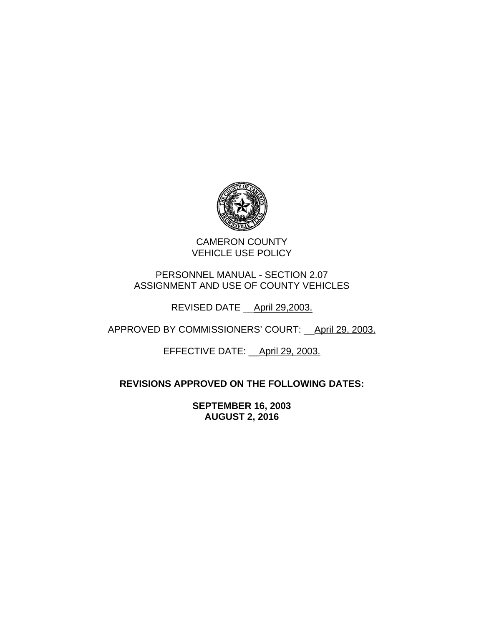

CAMERON COUNTY VEHICLE USE POLICY

PERSONNEL MANUAL - SECTION 2.07 ASSIGNMENT AND USE OF COUNTY VEHICLES

REVISED DATE \_\_April 29,2003.

APPROVED BY COMMISSIONERS' COURT: April 29, 2003.

EFFECTIVE DATE: \_\_April 29, 2003.

# **REVISIONS APPROVED ON THE FOLLOWING DATES:**

**SEPTEMBER 16, 2003 AUGUST 2, 2016**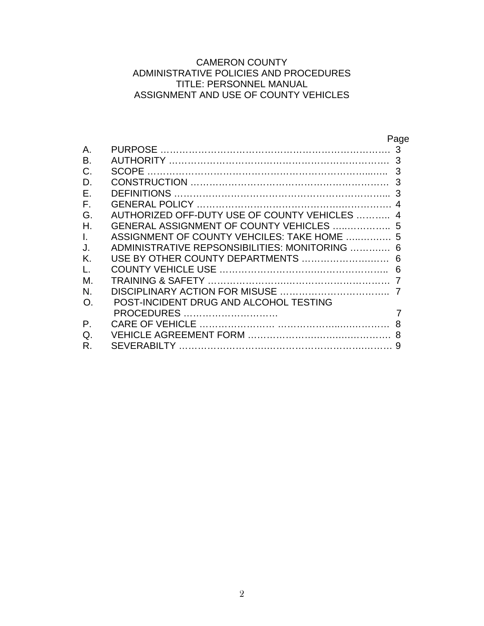# CAMERON COUNTY ADMINISTRATIVE POLICIES AND PROCEDURES TITLE: PERSONNEL MANUAL ASSIGNMENT AND USE OF COUNTY VEHICLES

|    | Page                                          |
|----|-----------------------------------------------|
| Α. | <b>PURPOSE</b><br>3                           |
| B. | 3<br><b>AUTHORITY</b>                         |
|    | 3<br><b>SCOPF</b>                             |
| D  | 3                                             |
| F. | <b>DEFINITIONS</b>                            |
| F. |                                               |
| G. | AUTHORIZED OFF-DUTY USE OF COUNTY VEHICLES    |
| Η. | GENERAL ASSIGNMENT OF COUNTY VEHICLES<br>5    |
|    | ASSIGNMENT OF COUNTY VEHCILES: TAKE HOME<br>5 |
|    | ADMINISTRATIVE REPSONSIBILITIES: MONITORING   |
| K. | USE BY OTHER COUNTY DEPARTMENTS<br>6          |
|    | 6                                             |
| М. |                                               |
| N. |                                               |
| O. | POST-INCIDENT DRUG AND ALCOHOL TESTING        |
|    | <b>PROCEDURES</b>                             |
| Ρ. | CARE OF VEHICLE                               |
| Q  |                                               |
| R  | SEVERABILTY                                   |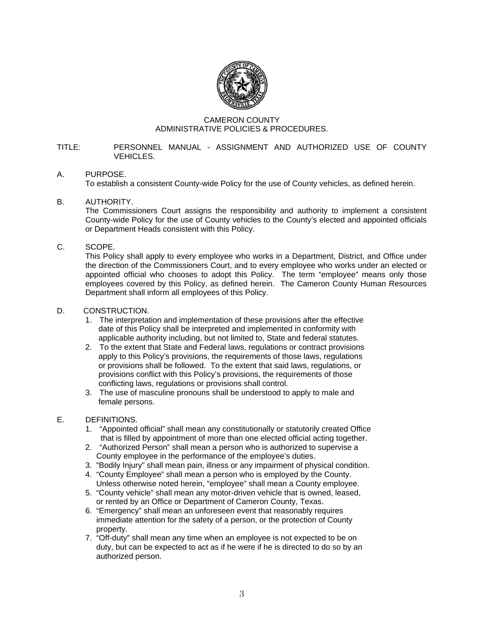

#### CAMERON COUNTY ADMINISTRATIVE POLICIES & PROCEDURES.

#### TITLE: PERSONNEL MANUAL - ASSIGNMENT AND AUTHORIZED USE OF COUNTY VEHICLES.

# A. PURPOSE.

To establish a consistent County-wide Policy for the use of County vehicles, as defined herein.

# B. AUTHORITY.

The Commissioners Court assigns the responsibility and authority to implement a consistent County-wide Policy for the use of County vehicles to the County's elected and appointed officials or Department Heads consistent with this Policy.

# C. SCOPE.

This Policy shall apply to every employee who works in a Department, District, and Office under the direction of the Commissioners Court, and to every employee who works under an elected or appointed official who chooses to adopt this Policy. The term "employee" means only those employees covered by this Policy, as defined herein. The Cameron County Human Resources Department shall inform all employees of this Policy.

# D. CONSTRUCTION.

- 1. The interpretation and implementation of these provisions after the effective date of this Policy shall be interpreted and implemented in conformity with applicable authority including, but not limited to, State and federal statutes.
- 2. To the extent that State and Federal laws, regulations or contract provisions apply to this Policy's provisions, the requirements of those laws, regulations or provisions shall be followed. To the extent that said laws, regulations, or provisions conflict with this Policy's provisions, the requirements of those conflicting laws, regulations or provisions shall control.
- 3. The use of masculine pronouns shall be understood to apply to male and female persons.

# E. DEFINITIONS.

- 1. "Appointed official" shall mean any constitutionally or statutorily created Office that is filled by appointment of more than one elected official acting together.
- 2. "Authorized Person" shall mean a person who is authorized to supervise a County employee in the performance of the employee's duties.
- 3. "Bodily Injury" shall mean pain, illness or any impairment of physical condition.
- 4. "County Employee" shall mean a person who is employed by the County. Unless otherwise noted herein, "employee" shall mean a County employee.
- 5. "County vehicle" shall mean any motor-driven vehicle that is owned, leased, or rented by an Office or Department of Cameron County, Texas.
- 6. "Emergency" shall mean an unforeseen event that reasonably requires immediate attention for the safety of a person, or the protection of County property.
- 7. "Off-duty" shall mean any time when an employee is not expected to be on duty, but can be expected to act as if he were if he is directed to do so by an authorized person.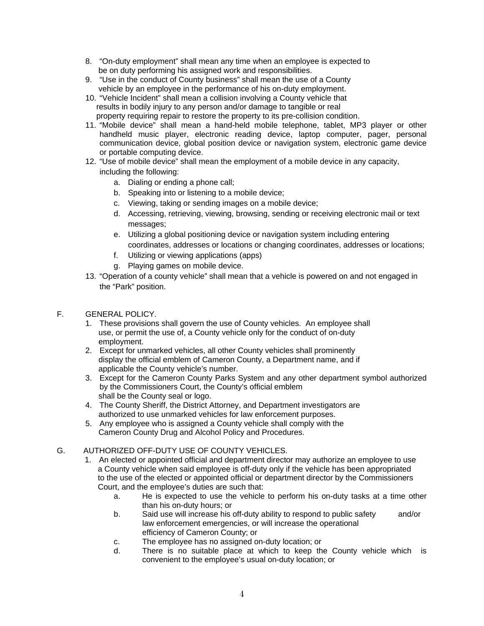- 8. "On-duty employment" shall mean any time when an employee is expected to be on duty performing his assigned work and responsibilities.
- 9. "Use in the conduct of County business" shall mean the use of a County vehicle by an employee in the performance of his on-duty employment.
- 10. "Vehicle Incident" shall mean a collision involving a County vehicle that results in bodily injury to any person and/or damage to tangible or real property requiring repair to restore the property to its pre-collision condition.
- 11. "Mobile device" shall mean a hand-held mobile telephone, tablet, MP3 player or other handheld music player, electronic reading device, laptop computer, pager, personal communication device, global position device or navigation system, electronic game device or portable computing device.
- 12. "Use of mobile device" shall mean the employment of a mobile device in any capacity, including the following:
	- a. Dialing or ending a phone call;
	- b. Speaking into or listening to a mobile device;
	- c. Viewing, taking or sending images on a mobile device;
	- d. Accessing, retrieving, viewing, browsing, sending or receiving electronic mail or text messages;
	- e. Utilizing a global positioning device or navigation system including entering coordinates, addresses or locations or changing coordinates, addresses or locations;
	- f. Utilizing or viewing applications (apps)
	- g. Playing games on mobile device.
- 13. "Operation of a county vehicle" shall mean that a vehicle is powered on and not engaged in the "Park" position.
- F. GENERAL POLICY.
	- 1. These provisions shall govern the use of County vehicles. An employee shall use, or permit the use of, a County vehicle only for the conduct of on-duty employment.
	- 2. Except for unmarked vehicles, all other County vehicles shall prominently display the official emblem of Cameron County, a Department name, and if applicable the County vehicle's number.
	- 3. Except for the Cameron County Parks System and any other department symbol authorized by the Commissioners Court, the County's official emblem shall be the County seal or logo.
	- 4. The County Sheriff, the District Attorney, and Department investigators are authorized to use unmarked vehicles for law enforcement purposes.
	- 5. Any employee who is assigned a County vehicle shall comply with the Cameron County Drug and Alcohol Policy and Procedures.

# G. AUTHORIZED OFF-DUTY USE OF COUNTY VEHICLES.

- 1. An elected or appointed official and department director may authorize an employee to use a County vehicle when said employee is off-duty only if the vehicle has been appropriated to the use of the elected or appointed official or department director by the Commissioners Court, and the employee's duties are such that:
	- a. He is expected to use the vehicle to perform his on-duty tasks at a time other than his on-duty hours; or
	- b. Said use will increase his off-duty ability to respond to public safety and/or law enforcement emergencies, or will increase the operational efficiency of Cameron County; or
	- c. The employee has no assigned on-duty location; or
	- d. There is no suitable place at which to keep the County vehicle which is convenient to the employee's usual on-duty location; or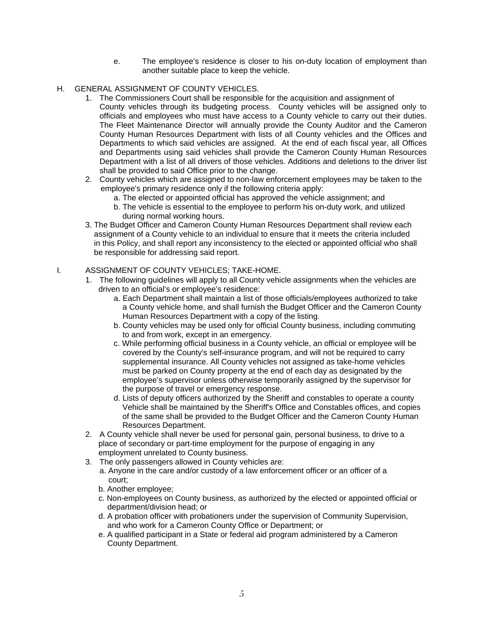- e. The employee's residence is closer to his on-duty location of employment than another suitable place to keep the vehicle.
- H. GENERAL ASSIGNMENT OF COUNTY VEHICLES.
	- 1. The Commissioners Court shall be responsible for the acquisition and assignment of County vehicles through its budgeting process. County vehicles will be assigned only to officials and employees who must have access to a County vehicle to carry out their duties. The Fleet Maintenance Director will annually provide the County Auditor and the Cameron County Human Resources Department with lists of all County vehicles and the Offices and Departments to which said vehicles are assigned. At the end of each fiscal year, all Offices and Departments using said vehicles shall provide the Cameron County Human Resources Department with a list of all drivers of those vehicles. Additions and deletions to the driver list shall be provided to said Office prior to the change.
	- 2. County vehicles which are assigned to non-law enforcement employees may be taken to the employee's primary residence only if the following criteria apply:
		- a. The elected or appointed official has approved the vehicle assignment; and
		- b. The vehicle is essential to the employee to perform his on-duty work, and utilized during normal working hours.
	- 3. The Budget Officer and Cameron County Human Resources Department shall review each assignment of a County vehicle to an individual to ensure that it meets the criteria included in this Policy, and shall report any inconsistency to the elected or appointed official who shall be responsible for addressing said report.

# I. ASSIGNMENT OF COUNTY VEHICLES; TAKE-HOME.

- 1. The following guidelines will apply to all County vehicle assignments when the vehicles are driven to an official's or employee's residence:
	- a. Each Department shall maintain a list of those officials/employees authorized to take a County vehicle home, and shall furnish the Budget Officer and the Cameron County Human Resources Department with a copy of the listing.
	- b. County vehicles may be used only for official County business, including commuting to and from work, except in an emergency.
	- c. While performing official business in a County vehicle, an official or employee will be covered by the County's self-insurance program, and will not be required to carry supplemental insurance. All County vehicles not assigned as take-home vehicles must be parked on County property at the end of each day as designated by the employee's supervisor unless otherwise temporarily assigned by the supervisor for the purpose of travel or emergency response.
	- d. Lists of deputy officers authorized by the Sheriff and constables to operate a county Vehicle shall be maintained by the Sheriff's Office and Constables offices, and copies of the same shall be provided to the Budget Officer and the Cameron County Human Resources Department.
- 2. A County vehicle shall never be used for personal gain, personal business, to drive to a place of secondary or part-time employment for the purpose of engaging in any employment unrelated to County business.
- 3. The only passengers allowed in County vehicles are:
	- a. Anyone in the care and/or custody of a law enforcement officer or an officer of a court;
	- b. Another employee;
	- c. Non-employees on County business, as authorized by the elected or appointed official or department/division head; or
	- d. A probation officer with probationers under the supervision of Community Supervision, and who work for a Cameron County Office or Department; or
	- e. A qualified participant in a State or federal aid program administered by a Cameron County Department.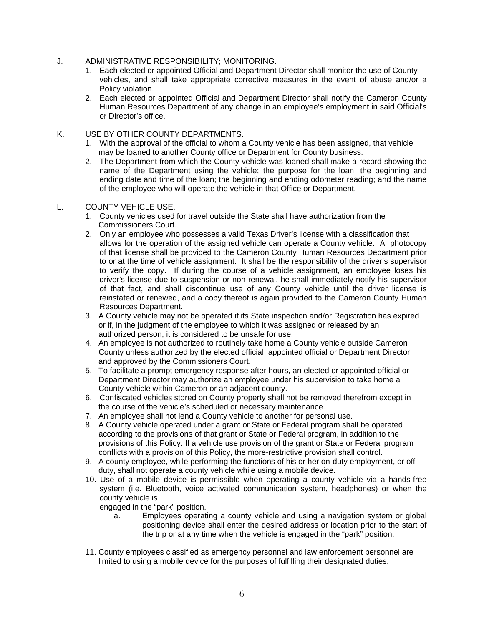- J. ADMINISTRATIVE RESPONSIBILITY; MONITORING.
	- 1. Each elected or appointed Official and Department Director shall monitor the use of County vehicles, and shall take appropriate corrective measures in the event of abuse and/or a Policy violation.
	- 2. Each elected or appointed Official and Department Director shall notify the Cameron County Human Resources Department of any change in an employee's employment in said Official's or Director's office.
- K. USE BY OTHER COUNTY DEPARTMENTS.
	- 1. With the approval of the official to whom a County vehicle has been assigned, that vehicle may be loaned to another County office or Department for County business.
	- 2. The Department from which the County vehicle was loaned shall make a record showing the name of the Department using the vehicle; the purpose for the loan; the beginning and ending date and time of the loan; the beginning and ending odometer reading; and the name of the employee who will operate the vehicle in that Office or Department.

#### L. COUNTY VEHICLE USE.

- 1. County vehicles used for travel outside the State shall have authorization from the Commissioners Court.
- 2. Only an employee who possesses a valid Texas Driver's license with a classification that allows for the operation of the assigned vehicle can operate a County vehicle. A photocopy of that license shall be provided to the Cameron County Human Resources Department prior to or at the time of vehicle assignment. It shall be the responsibility of the driver's supervisor to verify the copy. If during the course of a vehicle assignment, an employee loses his driver's license due to suspension or non-renewal, he shall immediately notify his supervisor of that fact, and shall discontinue use of any County vehicle until the driver license is reinstated or renewed, and a copy thereof is again provided to the Cameron County Human Resources Department.
- 3. A County vehicle may not be operated if its State inspection and/or Registration has expired or if, in the judgment of the employee to which it was assigned or released by an authorized person, it is considered to be unsafe for use.
- 4. An employee is not authorized to routinely take home a County vehicle outside Cameron County unless authorized by the elected official, appointed official or Department Director and approved by the Commissioners Court.
- 5. To facilitate a prompt emergency response after hours, an elected or appointed official or Department Director may authorize an employee under his supervision to take home a County vehicle within Cameron or an adjacent county.
- 6. Confiscated vehicles stored on County property shall not be removed therefrom except in the course of the vehicle's scheduled or necessary maintenance.
- 7. An employee shall not lend a County vehicle to another for personal use.
- 8. A County vehicle operated under a grant or State or Federal program shall be operated according to the provisions of that grant or State or Federal program, in addition to the provisions of this Policy. If a vehicle use provision of the grant or State or Federal program conflicts with a provision of this Policy, the more-restrictive provision shall control.
- 9. A county employee, while performing the functions of his or her on-duty employment, or off duty, shall not operate a county vehicle while using a mobile device.
- 10. Use of a mobile device is permissible when operating a county vehicle via a hands-free system (i.e. Bluetooth, voice activated communication system, headphones) or when the county vehicle is
	- engaged in the "park" position.
		- a. Employees operating a county vehicle and using a navigation system or global positioning device shall enter the desired address or location prior to the start of the trip or at any time when the vehicle is engaged in the "park" position.
- 11. County employees classified as emergency personnel and law enforcement personnel are limited to using a mobile device for the purposes of fulfilling their designated duties.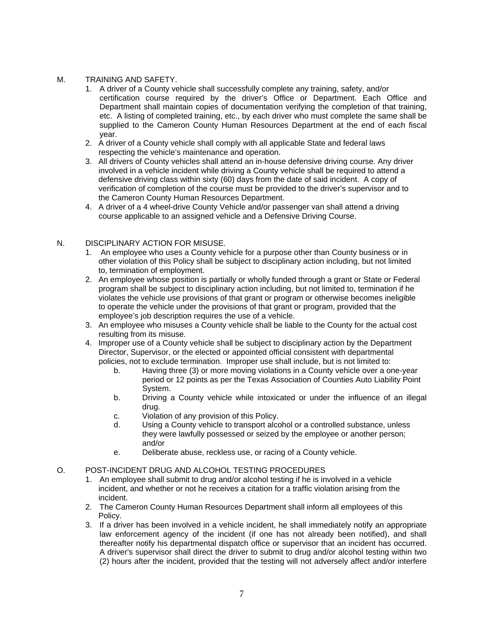#### M. TRAINING AND SAFETY.

- 1. A driver of a County vehicle shall successfully complete any training, safety, and/or certification course required by the driver's Office or Department. Each Office and Department shall maintain copies of documentation verifying the completion of that training, etc. A listing of completed training, etc., by each driver who must complete the same shall be supplied to the Cameron County Human Resources Department at the end of each fiscal year.
- 2. A driver of a County vehicle shall comply with all applicable State and federal laws respecting the vehicle's maintenance and operation.
- 3. All drivers of County vehicles shall attend an in-house defensive driving course. Any driver involved in a vehicle incident while driving a County vehicle shall be required to attend a defensive driving class within sixty (60) days from the date of said incident. A copy of verification of completion of the course must be provided to the driver's supervisor and to the Cameron County Human Resources Department.
- 4. A driver of a 4 wheel-drive County Vehicle and/or passenger van shall attend a driving course applicable to an assigned vehicle and a Defensive Driving Course.

#### N. DISCIPLINARY ACTION FOR MISUSE.

- 1. An employee who uses a County vehicle for a purpose other than County business or in other violation of this Policy shall be subject to disciplinary action including, but not limited to, termination of employment.
- 2. An employee whose position is partially or wholly funded through a grant or State or Federal program shall be subject to disciplinary action including, but not limited to, termination if he violates the vehicle use provisions of that grant or program or otherwise becomes ineligible to operate the vehicle under the provisions of that grant or program, provided that the employee's job description requires the use of a vehicle.
- 3. An employee who misuses a County vehicle shall be liable to the County for the actual cost resulting from its misuse.
- 4. Improper use of a County vehicle shall be subject to disciplinary action by the Department Director, Supervisor, or the elected or appointed official consistent with departmental policies, not to exclude termination. Improper use shall include, but is not limited to:
	- b. Having three (3) or more moving violations in a County vehicle over a one-year period or 12 points as per the Texas Association of Counties Auto Liability Point System.
	- b. Driving a County vehicle while intoxicated or under the influence of an illegal drug.
	- c. Violation of any provision of this Policy.
	- d. Using a County vehicle to transport alcohol or a controlled substance, unless they were lawfully possessed or seized by the employee or another person; and/or
	- e. Deliberate abuse, reckless use, or racing of a County vehicle.

#### O. POST-INCIDENT DRUG AND ALCOHOL TESTING PROCEDURES

- 1. An employee shall submit to drug and/or alcohol testing if he is involved in a vehicle incident, and whether or not he receives a citation for a traffic violation arising from the incident.
- 2. The Cameron County Human Resources Department shall inform all employees of this Policy.
- 3. If a driver has been involved in a vehicle incident, he shall immediately notify an appropriate law enforcement agency of the incident (if one has not already been notified), and shall thereafter notify his departmental dispatch office or supervisor that an incident has occurred. A driver's supervisor shall direct the driver to submit to drug and/or alcohol testing within two (2) hours after the incident, provided that the testing will not adversely affect and/or interfere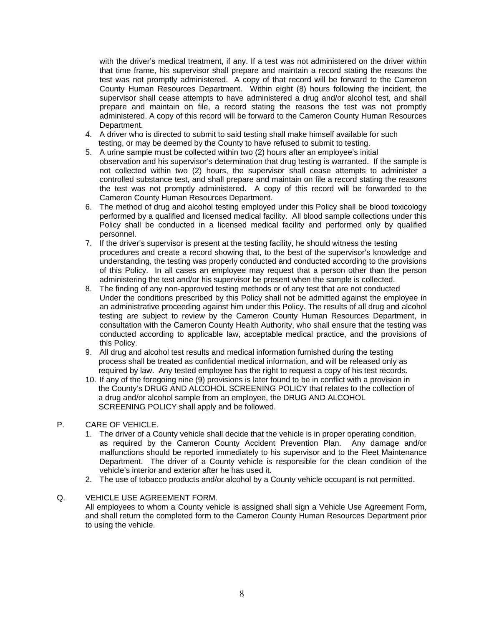with the driver's medical treatment, if any. If a test was not administered on the driver within that time frame, his supervisor shall prepare and maintain a record stating the reasons the test was not promptly administered. A copy of that record will be forward to the Cameron County Human Resources Department. Within eight (8) hours following the incident, the supervisor shall cease attempts to have administered a drug and/or alcohol test, and shall prepare and maintain on file, a record stating the reasons the test was not promptly administered. A copy of this record will be forward to the Cameron County Human Resources Department.

- 4. A driver who is directed to submit to said testing shall make himself available for such testing, or may be deemed by the County to have refused to submit to testing.
- 5. A urine sample must be collected within two (2) hours after an employee's initial observation and his supervisor's determination that drug testing is warranted. If the sample is not collected within two (2) hours, the supervisor shall cease attempts to administer a controlled substance test, and shall prepare and maintain on file a record stating the reasons the test was not promptly administered. A copy of this record will be forwarded to the Cameron County Human Resources Department.
- 6. The method of drug and alcohol testing employed under this Policy shall be blood toxicology performed by a qualified and licensed medical facility. All blood sample collections under this Policy shall be conducted in a licensed medical facility and performed only by qualified personnel.
- 7. If the driver's supervisor is present at the testing facility, he should witness the testing procedures and create a record showing that, to the best of the supervisor's knowledge and understanding, the testing was properly conducted and conducted according to the provisions of this Policy. In all cases an employee may request that a person other than the person administering the test and/or his supervisor be present when the sample is collected.
- 8. The finding of any non-approved testing methods or of any test that are not conducted Under the conditions prescribed by this Policy shall not be admitted against the employee in an administrative proceeding against him under this Policy. The results of all drug and alcohol testing are subject to review by the Cameron County Human Resources Department, in consultation with the Cameron County Health Authority, who shall ensure that the testing was conducted according to applicable law, acceptable medical practice, and the provisions of this Policy.
- 9. All drug and alcohol test results and medical information furnished during the testing process shall be treated as confidential medical information, and will be released only as required by law. Any tested employee has the right to request a copy of his test records.
- 10. If any of the foregoing nine (9) provisions is later found to be in conflict with a provision in the County's DRUG AND ALCOHOL SCREENING POLICY that relates to the collection of a drug and/or alcohol sample from an employee, the DRUG AND ALCOHOL SCREENING POLICY shall apply and be followed.
- P. CARE OF VEHICLE.
	- 1. The driver of a County vehicle shall decide that the vehicle is in proper operating condition, as required by the Cameron County Accident Prevention Plan. Any damage and/or malfunctions should be reported immediately to his supervisor and to the Fleet Maintenance Department. The driver of a County vehicle is responsible for the clean condition of the vehicle's interior and exterior after he has used it.
	- 2. The use of tobacco products and/or alcohol by a County vehicle occupant is not permitted.
- Q. VEHICLE USE AGREEMENT FORM.

All employees to whom a County vehicle is assigned shall sign a Vehicle Use Agreement Form, and shall return the completed form to the Cameron County Human Resources Department prior to using the vehicle.